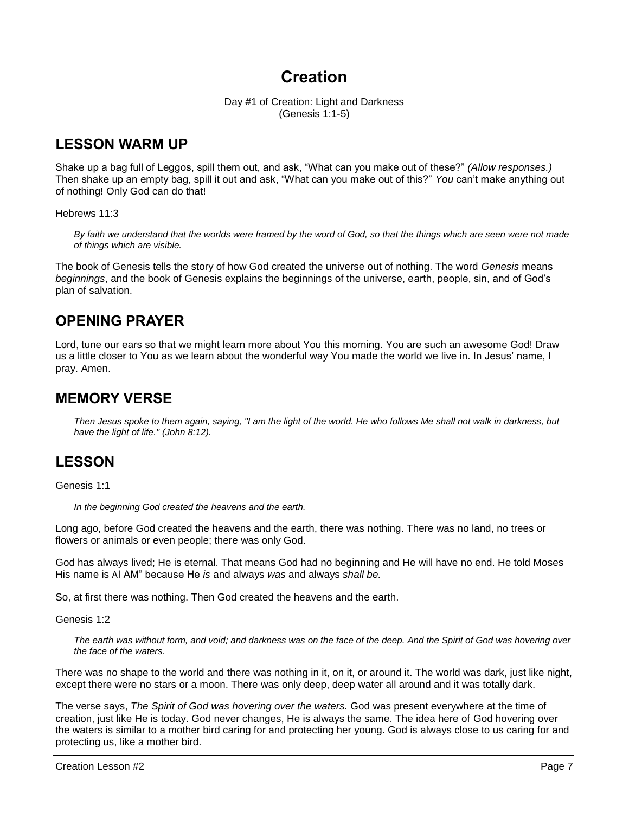# **Creation**

Day #1 of Creation: Light and Darkness (Genesis 1:1-5)

## **LESSON WARM UP**

Shake up a bag full of Leggos, spill them out, and ask, "What can you make out of these?" *(Allow responses.)*  Then shake up an empty bag, spill it out and ask, "What can you make out of this?" *You* can't make anything out of nothing! Only God can do that!

## Hebrews 11:3

*By faith we understand that the worlds were framed by the word of God, so that the things which are seen were not made of things which are visible.*

The book of Genesis tells the story of how God created the universe out of nothing. The word *Genesis* means *beginnings*, and the book of Genesis explains the beginnings of the universe, earth, people, sin, and of God's plan of salvation.

## **OPENING PRAYER**

Lord, tune our ears so that we might learn more about You this morning. You are such an awesome God! Draw us a little closer to You as we learn about the wonderful way You made the world we live in. In Jesus' name, I pray. Amen.

## **MEMORY VERSE**

*Then Jesus spoke to them again, saying, "I am the light of the world. He who follows Me shall not walk in darkness, but have the light of life." (John 8:12).*

## **LESSON**

Genesis 1:1

*In the beginning God created the heavens and the earth.*

Long ago, before God created the heavens and the earth, there was nothing. There was no land, no trees or flowers or animals or even people; there was only God.

God has always lived; He is eternal. That means God had no beginning and He will have no end. He told Moses His name is AI AM" because He *is* and always *was* and always *shall be.*

So, at first there was nothing. Then God created the heavens and the earth.

Genesis 1:2

*The earth was without form, and void; and darkness was on the face of the deep. And the Spirit of God was hovering over the face of the waters.*

There was no shape to the world and there was nothing in it, on it, or around it. The world was dark, just like night, except there were no stars or a moon. There was only deep, deep water all around and it was totally dark.

The verse says, *The Spirit of God was hovering over the waters.* God was present everywhere at the time of creation, just like He is today. God never changes, He is always the same. The idea here of God hovering over the waters is similar to a mother bird caring for and protecting her young. God is always close to us caring for and protecting us, like a mother bird.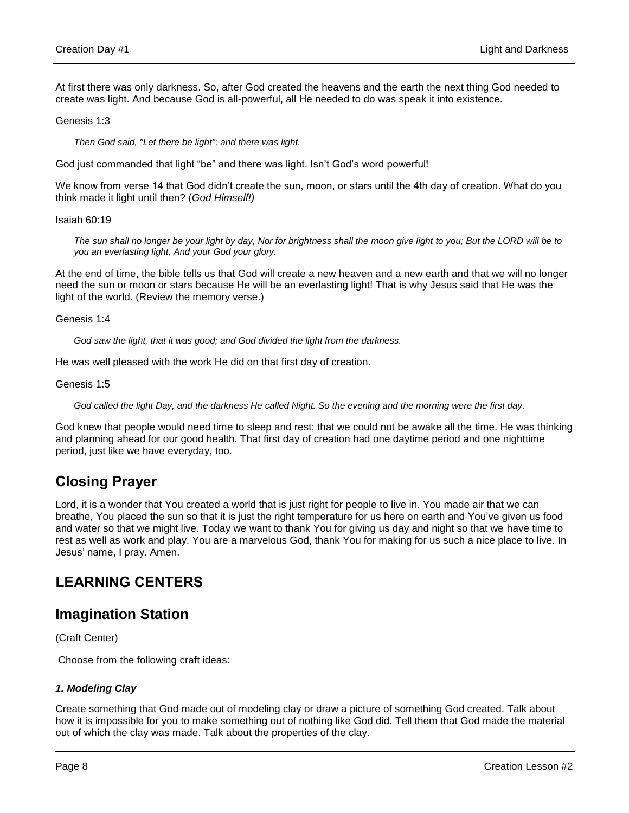At first there was only darkness. So, after God created the heavens and the earth the next thing God needed to create was light. And because God is all-powerful, all He needed to do was speak it into existence.

Genesis 1:3

*Then God said, "Let there be light"; and there was light.*

God just commanded that light "be" and there was light. Isn't God's word powerful!

We know from verse 14 that God didn't create the sun, moon, or stars until the 4th day of creation. What do you think made it light until then? (*God Himself!)*

Isaiah 60:19

*The sun shall no longer be your light by day, Nor for brightness shall the moon give light to you; But the LORD will be to you an everlasting light, And your God your glory.*

At the end of time, the bible tells us that God will create a new heaven and a new earth and that we will no longer need the sun or moon or stars because He will be an everlasting light! That is why Jesus said that He was the light of the world. (Review the memory verse.)

Genesis 1:4

*God saw the light, that it was good; and God divided the light from the darkness.*

He was well pleased with the work He did on that first day of creation.

Genesis 1:5

*God called the light Day, and the darkness He called Night. So the evening and the morning were the first day.*

God knew that people would need time to sleep and rest; that we could not be awake all the time. He was thinking and planning ahead for our good health. That first day of creation had one daytime period and one nighttime period, just like we have everyday, too.

## **Closing Prayer**

Lord, it is a wonder that You created a world that is just right for people to live in. You made air that we can breathe, You placed the sun so that it is just the right temperature for us here on earth and You've given us food and water so that we might live. Today we want to thank You for giving us day and night so that we have time to rest as well as work and play. You are a marvelous God, thank You for making for us such a nice place to live. In Jesus' name, I pray. Amen.

## **LEARNING CENTERS**

## **Imagination Station**

(Craft Center)

Choose from the following craft ideas:

## *1. Modeling Clay*

Create something that God made out of modeling clay or draw a picture of something God created. Talk about how it is impossible for you to make something out of nothing like God did. Tell them that God made the material out of which the clay was made. Talk about the properties of the clay.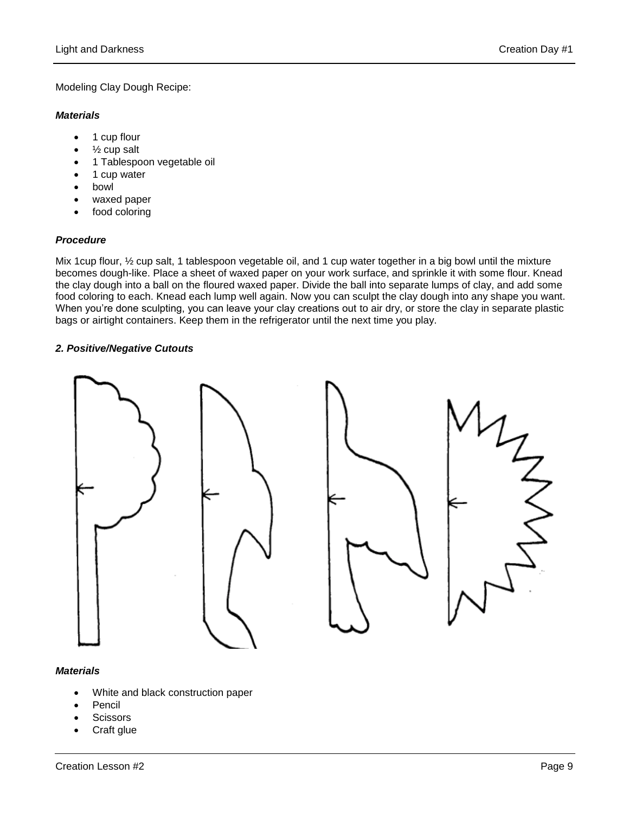## Modeling Clay Dough Recipe:

#### *Materials*

- 1 cup flour
- $\bullet$   $\frac{1}{2}$  cup salt
- 1 Tablespoon vegetable oil
- 1 cup water
- bowl
- waxed paper
- food coloring

## *Procedure*

Mix 1cup flour, ½ cup salt, 1 tablespoon vegetable oil, and 1 cup water together in a big bowl until the mixture becomes dough-like. Place a sheet of waxed paper on your work surface, and sprinkle it with some flour. Knead the clay dough into a ball on the floured waxed paper. Divide the ball into separate lumps of clay, and add some food coloring to each. Knead each lump well again. Now you can sculpt the clay dough into any shape you want. When you're done sculpting, you can leave your clay creations out to air dry, or store the clay in separate plastic bags or airtight containers. Keep them in the refrigerator until the next time you play.

#### *2. Positive/Negative Cutouts*





#### *Materials*

- White and black construction paper
- Pencil
- **Scissors**
- Craft glue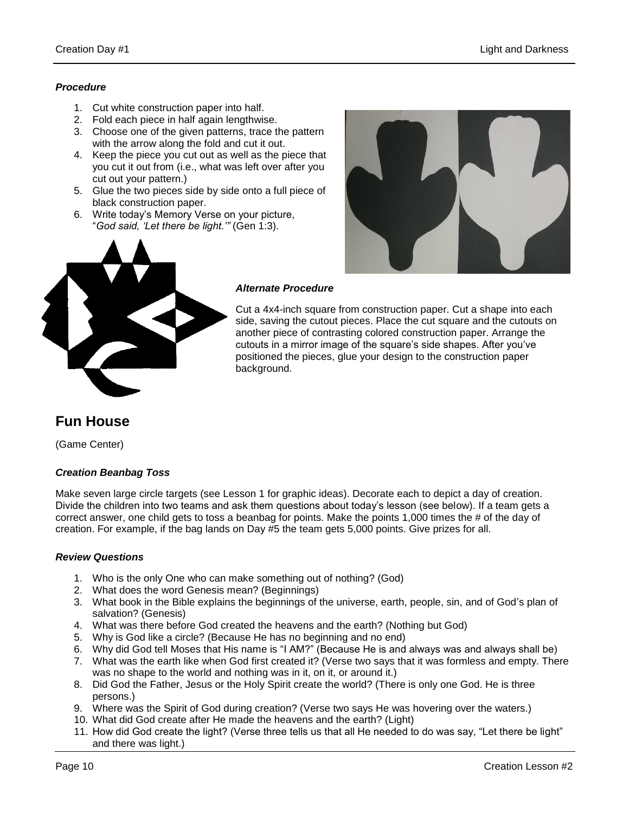## *Procedure*

- 1. Cut white construction paper into half.
- 2. Fold each piece in half again lengthwise.
- 3. Choose one of the given patterns, trace the pattern with the arrow along the fold and cut it out.
- 4. Keep the piece you cut out as well as the piece that you cut it out from (i.e., what was left over after you cut out your pattern.)
- 5. Glue the two pieces side by side onto a full piece of black construction paper.
- 6. Write today's Memory Verse on your picture, "*God said, 'Let there be light.'"* (Gen 1:3).





#### *Alternate Procedure*

Cut a 4x4-inch square from construction paper. Cut a shape into each side, saving the cutout pieces. Place the cut square and the cutouts on another piece of contrasting colored construction paper. Arrange the cutouts in a mirror image of the square's side shapes. After you've positioned the pieces, glue your design to the construction paper background.

## **Fun House**

(Game Center)

## *Creation Beanbag Toss*

Make seven large circle targets (see Lesson 1 for graphic ideas). Decorate each to depict a day of creation. Divide the children into two teams and ask them questions about today's lesson (see below). If a team gets a correct answer, one child gets to toss a beanbag for points. Make the points 1,000 times the # of the day of creation. For example, if the bag lands on Day #5 the team gets 5,000 points. Give prizes for all.

## *Review Questions*

- 1. Who is the only One who can make something out of nothing? (God)
- 2. What does the word Genesis mean? (Beginnings)
- 3. What book in the Bible explains the beginnings of the universe, earth, people, sin, and of God's plan of salvation? (Genesis)
- 4. What was there before God created the heavens and the earth? (Nothing but God)
- 5. Why is God like a circle? (Because He has no beginning and no end)
- 6. Why did God tell Moses that His name is "I AM?" (Because He is and always was and always shall be)
- 7. What was the earth like when God first created it? (Verse two says that it was formless and empty. There was no shape to the world and nothing was in it, on it, or around it.)
- 8. Did God the Father, Jesus or the Holy Spirit create the world? (There is only one God. He is three persons.)
- 9. Where was the Spirit of God during creation? (Verse two says He was hovering over the waters.)
- 10. What did God create after He made the heavens and the earth? (Light)
- 11. How did God create the light? (Verse three tells us that all He needed to do was say, "Let there be light" and there was light.)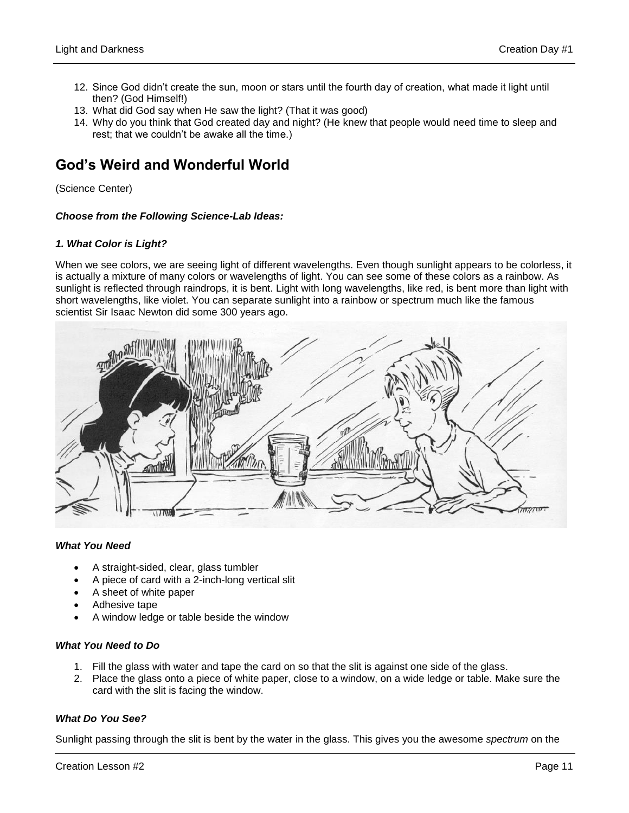- 12. Since God didn't create the sun, moon or stars until the fourth day of creation, what made it light until then? (God Himself!)
- 13. What did God say when He saw the light? (That it was good)
- 14. Why do you think that God created day and night? (He knew that people would need time to sleep and rest; that we couldn't be awake all the time.)

## **God's Weird and Wonderful World**

(Science Center)

## *Choose from the Following Science-Lab Ideas:*

## *1. What Color is Light?*

When we see colors, we are seeing light of different wavelengths. Even though sunlight appears to be colorless, it is actually a mixture of many colors or wavelengths of light. You can see some of these colors as a rainbow. As sunlight is reflected through raindrops, it is bent. Light with long wavelengths, like red, is bent more than light with short wavelengths, like violet. You can separate sunlight into a rainbow or spectrum much like the famous scientist Sir Isaac Newton did some 300 years ago.



#### *What You Need*

- A straight-sided, clear, glass tumbler
- A piece of card with a 2-inch-long vertical slit
- A sheet of white paper
- Adhesive tape
- A window ledge or table beside the window

#### *What You Need to Do*

- 1. Fill the glass with water and tape the card on so that the slit is against one side of the glass.
- 2. Place the glass onto a piece of white paper, close to a window, on a wide ledge or table. Make sure the card with the slit is facing the window.

## *What Do You See?*

Sunlight passing through the slit is bent by the water in the glass. This gives you the awesome *spectrum* on the